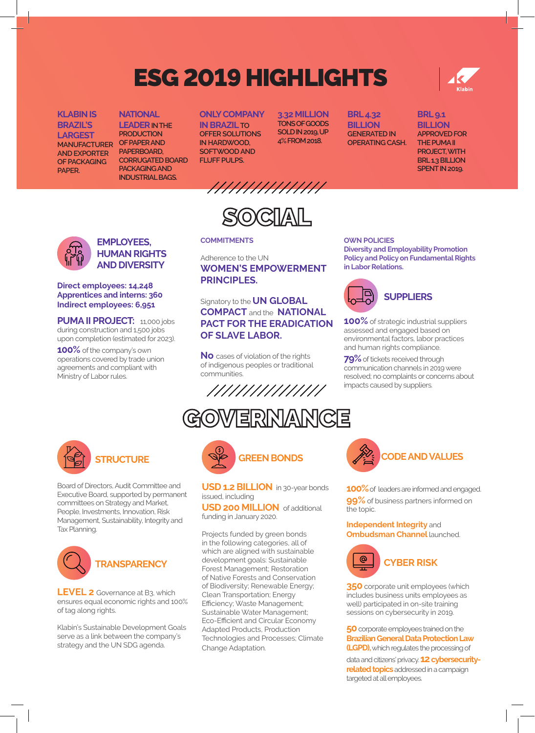# ESG 2019 HIGHLIGHTS

### **KLABIN IS BRAZIL'S LARGEST MANUFACTURER AND EXPORTER OF PACKAGING**

**PAPER.**

**NATIONAL LEADER IN THE PRODUCTION OF PAPER AND PAPERBOARD, CORRUGATED BOARD PACKAGING AND** 

**INDUSTRIAL BAGS.**

# **ONLY COMPANY**

**IN BRAZIL TO OFFER SOLUTIONS IN HARDWOOD, SOFTWOOD AND FLUFF PULPS.**

**3.32 MILLION TONS OF GOODS SOLD IN 2019, UP 4% FROM 2018.**

**BRL 4.32 BILLION GENERATED IN OPERATING CASH.**



### **BRL 9.1 BILLION APPROVED FOR THE PUMA II PROJECT, WITH BRL 1.3 BILLION SPENT IN 2019.**

//////////////

 $\mathbb C\Pi\mathbb A\Pi$ 

## **COMMITMENTS**

Adherence to the UN **WOMEN'S EMPOWERMENT PRINCIPLES.**

Signatory to the **UN GLOBAL COMPACT** and the **NATIONAL PACT FOR THE ERADICATION OF SLAVE LABOR.**

**No** cases of violation of the rights of indigenous peoples or traditional communities.



**GOWERNANCE** 

#### **Diversity and Employability Promotion Policy and Policy on Fundamental Rights in Labor Relations.**

**OWN POLICIES**



**100%** of strategic industrial suppliers assessed and engaged based on environmental factors, labor practices and human rights compliance.

**79%** of tickets received through communication channels in 2019 were resolved; no complaints or concerns about impacts caused by suppliers.



**Direct employees: 14,248 Apprentices and interns: 360 Indirect employees: 6,951**

**100%** of the company's own operations covered by trade union agreements and compliant with

Ministry of Labor rules.

**PUMA II PROJECT:** 11,000 jobs during construction and 1,500 jobs upon completion (estimated for 2023).

**EMPLOYEES, HUMAN RIGHTS AND DIVERSITY** 

Board of Directors, Audit Committee and Executive Board, supported by permanent committees on Strategy and Market, People, Investments, Innovation, Risk Management, Sustainability, Integrity and Tax Planning.



**LEVEL 2** Governance at B3, which ensures equal economic rights and 100% of tag along rights.

Klabin's Sustainable Development Goals serve as a link between the company's strategy and the UN SDG agenda.



**USD 1.2 BILLION** in 30-year bonds issued, including

**USD 200 MILLION** of additional funding in January 2020.

Projects funded by green bonds in the following categories, all of which are aligned with sustainable development goals: Sustainable Forest Management; Restoration of Native Forests and Conservation of Biodiversity; Renewable Energy; Clean Transportation; Energy Efficiency; Waste Management; Sustainable Water Management; Eco-Efficient and Circular Economy Adapted Products, Production Technologies and Processes; Climate Change Adaptation.



**100%** of leaders are informed and engaged. **99%** of business partners informed on the topic.

**Independent Integrity** and **Ombudsman Channel launched.** 



**350** corporate unit employees (which includes business units employees as well) participated in on-site training sessions on cybersecurity in 2019.

**50** corporate employees trained on the **Brazilian General Data Protection Law (LGPD),** which regulates the processing of data and citizens' privacy. **12 cybersecurityrelated topics** addressed in a campaign targeted at all employees.